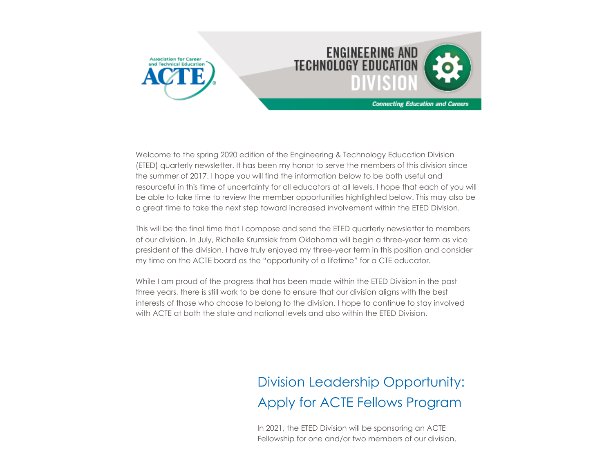

Welcome to the spring 2020 edition of the Engineering & Technology Education Division (ETED) quarterly newsletter. It has been my honor to serve the members of this division since the summer of 2017. I hope you will find the information below to be both useful and resourceful in this time of uncertainty for all educators at all levels. I hope that each of you will be able to take time to review the member opportunities highlighted below. This may also be a great time to take the next step toward increased involvement within the ETED Division.

This will be the final time that I compose and send the ETED quarterly newsletter to members of our division. In July, Richelle Krumsiek from Oklahoma will begin a three-year term as vice president of the division. I have truly enjoyed my three-year term in this position and consider my time on the ACTE board as the "opportunity of a lifetime" for a CTE educator.

While I am proud of the progress that has been made within the ETED Division in the past three years, there is still work to be done to ensure that our division aligns with the best interests of those who choose to belong to the division. I hope to continue to stay involved with ACTE at both the state and national levels and also within the ETED Division.

### Division Leadership Opportunity: Apply for ACTE Fellows Program

In 2021, the ETED Division will be sponsoring an ACTE Fellowship for one and/or two members of our division.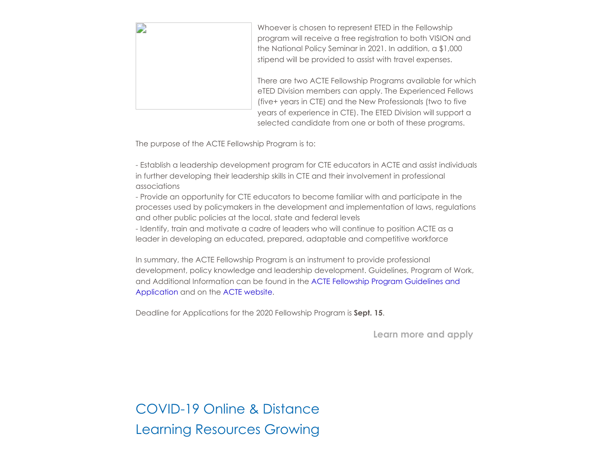| Whoever is chosen to represent ETED in the Fellowship<br>program will receive a free registration to both VISION and<br>the National Policy Seminar in 2021. In addition, a \$1,000<br>stipend will be provided to assist with travel expenses.                                                                  |
|------------------------------------------------------------------------------------------------------------------------------------------------------------------------------------------------------------------------------------------------------------------------------------------------------------------|
| There are two ACTE Fellowship Programs available for which<br>eTED Division members can apply. The Experienced Fellows<br>(five+ years in CTE) and the New Professionals (two to five<br>years of experience in CTE). The ETED Division will support a<br>selected candidate from one or both of these programs. |

The purpose of the ACTE Fellowship Program is to:

- Establish a leadership development program for CTE educators in ACTE and assist individuals in further developing their leadership skills in CTE and their involvement in professional associations

- Provide an opportunity for CTE educators to become familiar with and participate in the processes used by policymakers in the development and implementation of laws, regulations and other public policies at the local, state and federal levels

- Identify, train and motivate a cadre of leaders who will continue to position ACTE as a leader in developing an educated, prepared, adaptable and competitive workforce

In summary, the ACTE Fellowship Program is an instrument to provide professional development, policy knowledge and leadership development. Guidelines, Program of Work, [and Additional Information can be found in the ACTE Fellowship Program Guidelines and](https://acte.secure-platform.com/a/page/leadership/fellowship) Application and on the [ACTE website.](https://www.acteonline.org/professional-development/leadership-development/acte-national-leadership-fellowship-program/)

Deadline for Applications for the 2020 Fellowship Program is **Sept. 15**.

**[Learn more and apply](https://acte.secure-platform.com/a/page/leadership/fellowship)**

COVID-19 Online & Distance Learning Resources Growing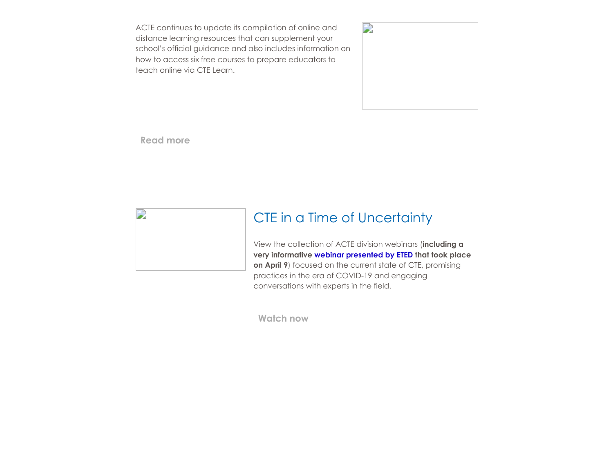ACTE continues to update its compilation of online and distance learning resources that can supplement your school's official guidance and also includes information on how to access six free courses to prepare educators to teach online via CTE Learn.



**[Read more](https://www.acteonline.org/professional-development/opportunities/distance-learning-resources/)**



#### CTE in a Time of Uncertainty

View the collection of ACTE division webinars (**including a very informative [webinar presented by ETED](https://www.youtube.com/watch?v=Rr_tEgvXB9U&feature=youtu.be) that took place on April 9**) focused on the current state of CTE, promising practices in the era of COVID-19 and engaging conversations with experts in the field.

**[Watch now](https://www.acteonline.org/acte-division-webinars-cte-in-a-time-of-uncertainty/)**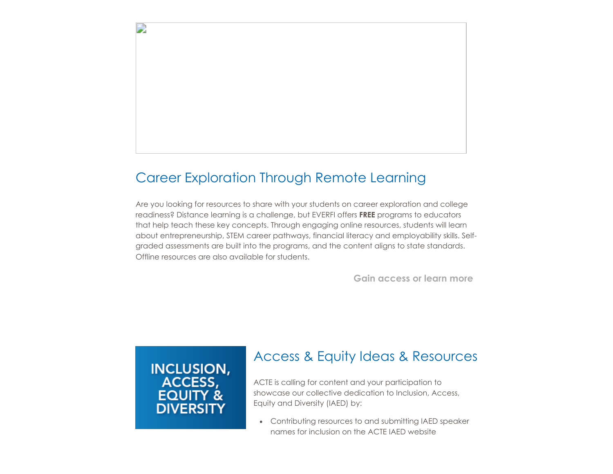#### Career Exploration Through Remote Learning

Are you looking for resources to share with your students on career exploration and college readiness? Distance learning is a challenge, but EVERFI offers **FREE** programs to educators that help teach these key concepts. Through engaging online resources, students will learn about entrepreneurship, STEM career pathways, financial literacy and employability skills. Selfgraded assessments are built into the programs, and the content aligns to state standards. Offline resources are also available for students.

**[Gain access or learn more](https://everfi.com/k-12/teacher-remote-learning/)**

# INCLUSION,<br>ACCESS, **FOUIT DIVERSITY**

D

#### Access & Equity Ideas & Resources

ACTE is calling for content and your participation to showcase our collective dedication to Inclusion, Access, Equity and Diversity (IAED) by:

Contributing resources to and submitting IAED speaker names for inclusion on the ACTE IAED website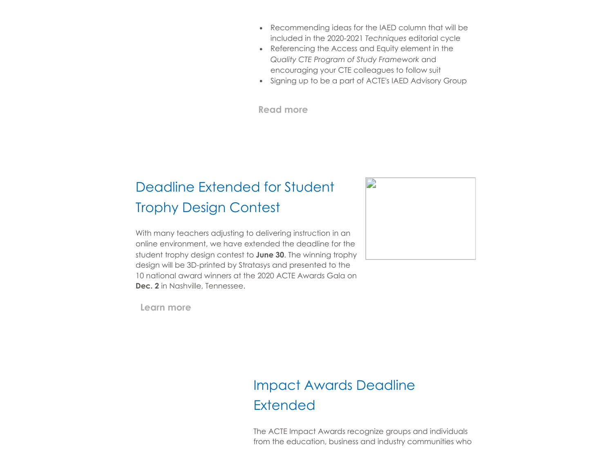- Recommending ideas for the IAED column that will be included in the 2020-2021 *Techniques* editorial cycle
- Referencing the Access and Equity element in the *Quality CTE Program of Study Framework* and encouraging your CTE colleagues to follow suit
- Signing up to be a part of ACTE's IAED Advisory Group

**[Read more](https://www.acteonline.org/iaed/)**

#### Deadline Extended for Student Trophy Design Contest

With many teachers adjusting to delivering instruction in an online environment, we have extended the deadline for the student trophy design contest to **June 30**. The winning trophy design will be 3D-printed by Stratasys and presented to the 10 national award winners at the 2020 ACTE Awards Gala on **Dec. 2** in Nashville, Tennessee.



**[Learn more](https://www.acteonline.org/professional-development/acte-awards/student-trophy-design-contest/)**

#### Impact Awards Deadline **Extended**

The ACTE Impact Awards recognize groups and individuals from the education, business and industry communities who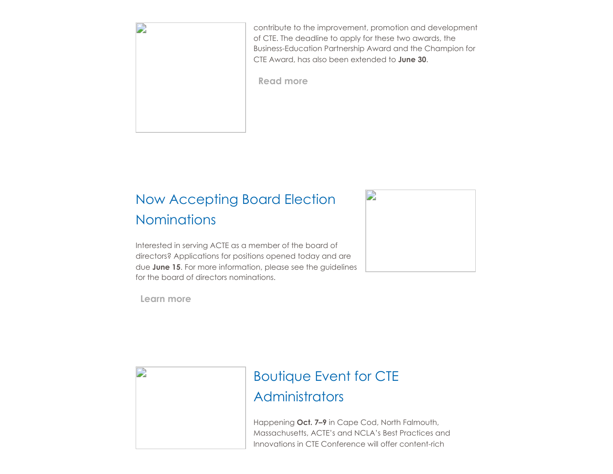

contribute to the improvement, promotion and development of CTE. The deadline to apply for these two awards, the Business-Education Partnership Award and the Champion for CTE Award, has also been extended to **June 30**.

**[Read more](https://www.acteonline.org/professional-development/acte-awards/acte-impact-awards/)**

## Now Accepting Board Election **Nominations**

Interested in serving ACTE as a member of the board of directors? Applications for positions opened today and are due **June 15**. For more information, please see the guidelines for the board of directors nominations.

**[Learn more](https://www.acteonline.org/about/get-involved/board-election/)**

D



# Boutique Event for CTE **Administrators**

Happening **Oct. 7–9** in Cape Cod, North Falmouth, Massachusetts, ACTE's and NCLA's Best Practices and Innovations in CTE Conference will offer content-rich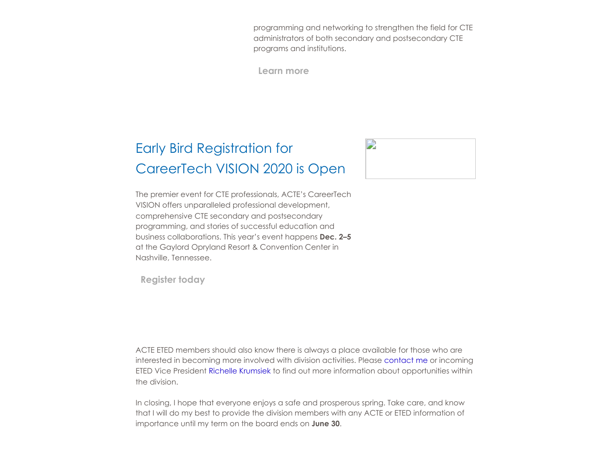programming and networking to strengthen the field for CTE administrators of both secondary and postsecondary CTE programs and institutions.

**[Learn more](https://www.acteonline.org/bestpractices/)**

#### Early Bird Registration for CareerTech VISION 2020 is Open

The premier event for CTE professionals, ACTE's CareerTech VISION offers unparalleled professional development, comprehensive CTE secondary and postsecondary programming, and stories of successful education and business collaborations. This year's event happens **Dec. 2–5** at the Gaylord Opryland Resort & Convention Center in Nashville, Tennessee.

**[Register today](https://www.careertechvision.com/index.cfm)**

ACTE ETED members should also know there is always a place available for those who are interested in becoming more involved with division activities. Please [contact me o](mailto:jadavis@glca.k12.in.us)r incoming ETED Vice President [Richelle Krumsiek](mailto:richelle.krumsiek@tulsatech.edu) to find out more information about opportunities within the division.

In closing, I hope that everyone enjoys a safe and prosperous spring. Take care, and know that I will do my best to provide the division members with any ACTE or ETED information of importance until my term on the board ends on **June 30**.